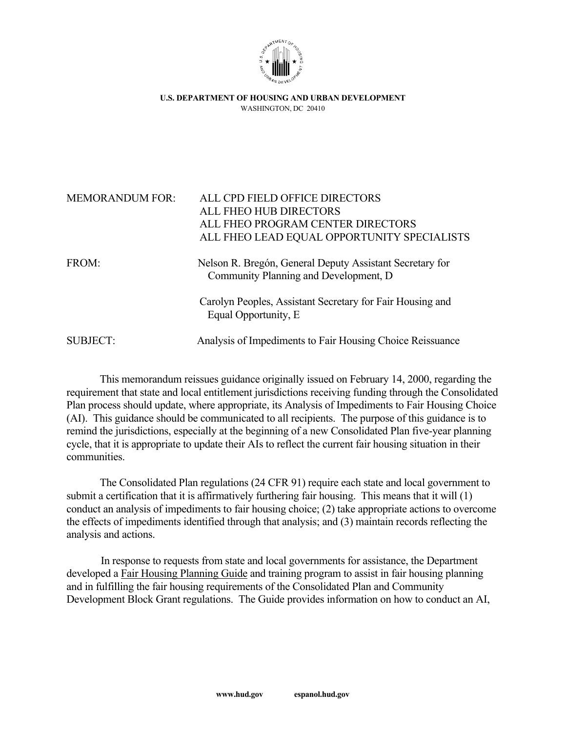

**U.S. DEPARTMENT OF HOUSING AND URBAN DEVELOPMENT**  WASHINGTON, DC 20410

| <b>MEMORANDUM FOR:</b> | ALL CPD FIELD OFFICE DIRECTORS                            |
|------------------------|-----------------------------------------------------------|
|                        | ALL FHEO HUB DIRECTORS                                    |
|                        | ALL FHEO PROGRAM CENTER DIRECTORS                         |
|                        | ALL FHEO LEAD EQUAL OPPORTUNITY SPECIALISTS               |
|                        |                                                           |
| FROM:                  | Nelson R. Bregón, General Deputy Assistant Secretary for  |
|                        | Community Planning and Development, D.                    |
|                        | Carolyn Peoples, Assistant Secretary for Fair Housing and |
|                        | Equal Opportunity, E                                      |
|                        |                                                           |
| <b>SUBJECT:</b>        | Analysis of Impediments to Fair Housing Choice Reissuance |

This memorandum reissues guidance originally issued on February 14, 2000, regarding the requirement that state and local entitlement jurisdictions receiving funding through the Consolidated Plan process should update, where appropriate, its Analysis of Impediments to Fair Housing Choice (AI). This guidance should be communicated to all recipients. The purpose of this guidance is to remind the jurisdictions, especially at the beginning of a new Consolidated Plan five-year planning cycle, that it is appropriate to update their AIs to reflect the current fair housing situation in their communities.

 The Consolidated Plan regulations (24 CFR 91) require each state and local government to submit a certification that it is affirmatively furthering fair housing. This means that it will (1) conduct an analysis of impediments to fair housing choice; (2) take appropriate actions to overcome the effects of impediments identified through that analysis; and (3) maintain records reflecting the analysis and actions.

 In response to requests from state and local governments for assistance, the Department developed a Fair Housing Planning Guide and training program to assist in fair housing planning and in fulfilling the fair housing requirements of the Consolidated Plan and Community Development Block Grant regulations. The Guide provides information on how to conduct an AI,